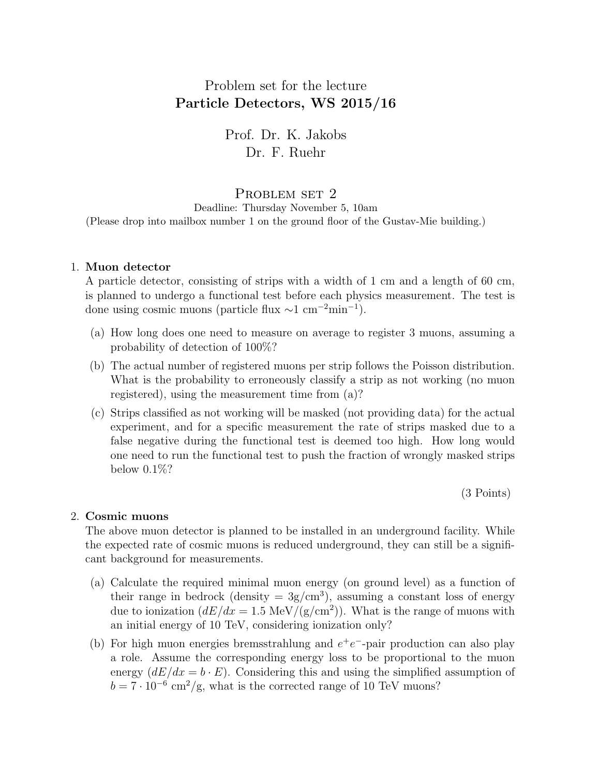# Problem set for the lecture Particle Detectors, WS 2015/16

Prof. Dr. K. Jakobs Dr. F. Ruehr

## PROBLEM SET 2

Deadline: Thursday November 5, 10am (Please drop into mailbox number 1 on the ground floor of the Gustav-Mie building.)

## 1. Muon detector

A particle detector, consisting of strips with a width of 1 cm and a length of 60 cm, is planned to undergo a functional test before each physics measurement. The test is done using cosmic muons (particle flux  $\sim$ 1 cm<sup>-2</sup>min<sup>-1</sup>).

- (a) How long does one need to measure on average to register 3 muons, assuming a probability of detection of 100%?
- (b) The actual number of registered muons per strip follows the Poisson distribution. What is the probability to erroneously classify a strip as not working (no muon registered), using the measurement time from (a)?
- (c) Strips classified as not working will be masked (not providing data) for the actual experiment, and for a specific measurement the rate of strips masked due to a false negative during the functional test is deemed too high. How long would one need to run the functional test to push the fraction of wrongly masked strips below 0.1%?

(3 Points)

### 2. Cosmic muons

The above muon detector is planned to be installed in an underground facility. While the expected rate of cosmic muons is reduced underground, they can still be a significant background for measurements.

- (a) Calculate the required minimal muon energy (on ground level) as a function of their range in bedrock (density  $= 3g/cm<sup>3</sup>$ ), assuming a constant loss of energy due to ionization  $\left(\frac{dE}{dx} = 1.5 \text{ MeV}/(\text{g}/\text{cm}^2)\right)$ . What is the range of muons with an initial energy of 10 TeV, considering ionization only?
- (b) For high muon energies bremsstrahlung and  $e^+e^-$ -pair production can also play a role. Assume the corresponding energy loss to be proportional to the muon energy  $(dE/dx = b \cdot E)$ . Considering this and using the simplified assumption of  $b = 7 \cdot 10^{-6}$  cm<sup>2</sup>/g, what is the corrected range of 10 TeV muons?